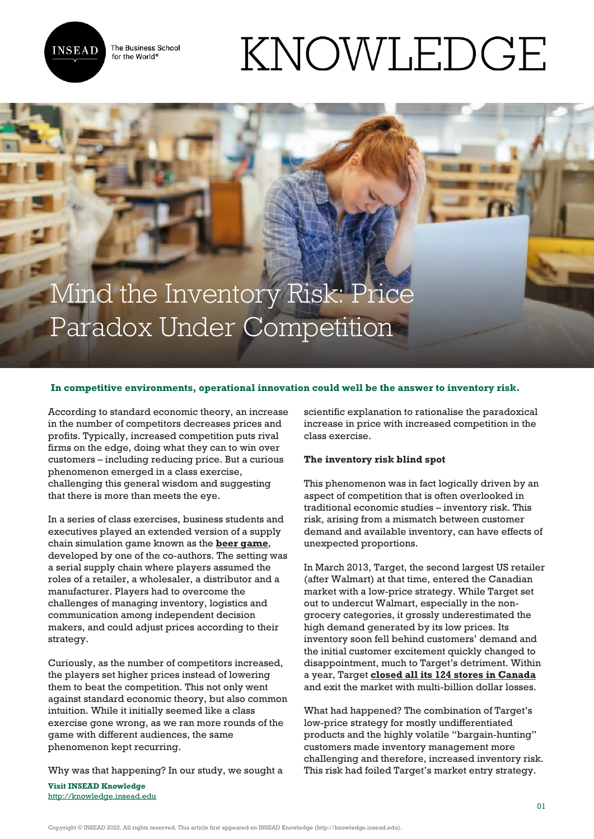

The Business School for the World<sup>®</sup>

# KNOWLEDGE

# Mind the Inventory Risk: Price Paradox Under Competition

## **In competitive environments, operational innovation could well be the answer to inventory risk.**

According to standard economic theory, an increase in the number of competitors decreases prices and profits. Typically, increased competition puts rival firms on the edge, doing what they can to win over customers – including reducing price. But a curious phenomenon emerged in a class exercise, challenging this general wisdom and suggesting that there is more than meets the eye.

In a series of class exercises, business students and executives played an extended version of a supply chain simulation game known as the **[beer game](https://pubsonline.informs.org/doi/10.1287/mnsc.35.3.321)**, developed by one of the co-authors. The setting was a serial supply chain where players assumed the roles of a retailer, a wholesaler, a distributor and a manufacturer. Players had to overcome the challenges of managing inventory, logistics and communication among independent decision makers, and could adjust prices according to their strategy.

Curiously, as the number of competitors increased, the players set higher prices instead of lowering them to beat the competition. This not only went against standard economic theory, but also common intuition. While it initially seemed like a class exercise gone wrong, as we ran more rounds of the game with different audiences, the same phenomenon kept recurring.

Why was that happening? In our study, we sought a

**Visit INSEAD Knowledge** <http://knowledge.insead.edu> scientific explanation to rationalise the paradoxical increase in price with increased competition in the class exercise.

#### **The inventory risk blind spot**

This phenomenon was in fact logically driven by an aspect of competition that is often overlooked in traditional economic studies – inventory risk. This risk, arising from a mismatch between customer demand and available inventory, can have effects of unexpected proportions.

In March 2013, Target, the second largest US retailer (after Walmart) at that time, entered the Canadian market with a low-price strategy. While Target set out to undercut Walmart, especially in the nongrocery categories, it grossly underestimated the high demand generated by its low prices. Its inventory soon fell behind customers' demand and the initial customer excitement quickly changed to disappointment, much to Target's detriment. Within a year, Target **[closed all its 124 stores in Canada](https://financialpost.com/news/retail-marketing/target-still-struggling-to-rebound-from-botched-canadian-expansion-and-hacker-attack)** and exit the market with multi-billion dollar losses.

What had happened? The combination of Target's low-price strategy for mostly undifferentiated products and the highly volatile "bargain-hunting" customers made inventory management more challenging and therefore, increased inventory risk. This risk had foiled Target's market entry strategy.

Copyright © INSEAD 2022. All rights reserved. This article first appeared on INSEAD Knowledge (http://knowledge.insead.edu).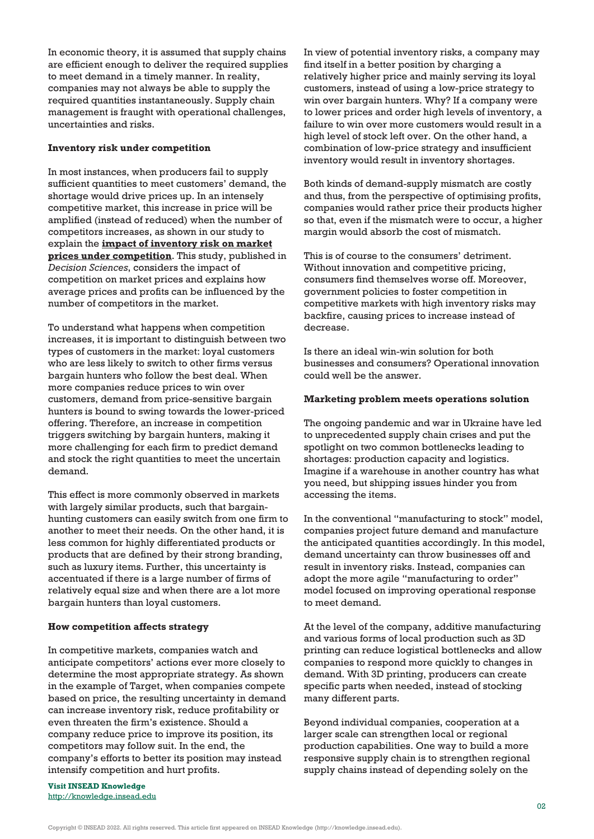In economic theory, it is assumed that supply chains are efficient enough to deliver the required supplies to meet demand in a timely manner. In reality, companies may not always be able to supply the required quantities instantaneously. Supply chain management is fraught with operational challenges, uncertainties and risks.

#### **Inventory risk under competition**

In most instances, when producers fail to supply sufficient quantities to meet customers' demand, the shortage would drive prices up. In an intensely competitive market, this increase in price will be amplified (instead of reduced) when the number of competitors increases, as shown in our study to explain the **[impact of inventory risk on market](https://doi.org/10.1111/deci.12520) [prices under competition](https://doi.org/10.1111/deci.12520)**. This study, published in *Decision Sciences*, considers the impact of competition on market prices and explains how average prices and profits can be influenced by the number of competitors in the market.

To understand what happens when competition increases, it is important to distinguish between two types of customers in the market: loyal customers who are less likely to switch to other firms versus bargain hunters who follow the best deal. When more companies reduce prices to win over customers, demand from price-sensitive bargain hunters is bound to swing towards the lower-priced offering. Therefore, an increase in competition triggers switching by bargain hunters, making it more challenging for each firm to predict demand and stock the right quantities to meet the uncertain demand.

This effect is more commonly observed in markets with largely similar products, such that bargainhunting customers can easily switch from one firm to another to meet their needs. On the other hand, it is less common for highly differentiated products or products that are defined by their strong branding, such as luxury items. Further, this uncertainty is accentuated if there is a large number of firms of relatively equal size and when there are a lot more bargain hunters than loyal customers.

## **How competition affects strategy**

In competitive markets, companies watch and anticipate competitors' actions ever more closely to determine the most appropriate strategy. As shown in the example of Target, when companies compete based on price, the resulting uncertainty in demand can increase inventory risk, reduce profitability or even threaten the firm's existence. Should a company reduce price to improve its position, its competitors may follow suit. In the end, the company's efforts to better its position may instead intensify competition and hurt profits.

**Visit INSEAD Knowledge** <http://knowledge.insead.edu> In view of potential inventory risks, a company may find itself in a better position by charging a relatively higher price and mainly serving its loyal customers, instead of using a low-price strategy to win over bargain hunters. Why? If a company were to lower prices and order high levels of inventory, a failure to win over more customers would result in a high level of stock left over. On the other hand, a combination of low-price strategy and insufficient inventory would result in inventory shortages.

Both kinds of demand-supply mismatch are costly and thus, from the perspective of optimising profits, companies would rather price their products higher so that, even if the mismatch were to occur, a higher margin would absorb the cost of mismatch.

This is of course to the consumers' detriment. Without innovation and competitive pricing, consumers find themselves worse off. Moreover, government policies to foster competition in competitive markets with high inventory risks may backfire, causing prices to increase instead of decrease.

Is there an ideal win-win solution for both businesses and consumers? Operational innovation could well be the answer.

#### **Marketing problem meets operations solution**

The ongoing pandemic and war in Ukraine have led to unprecedented supply chain crises and put the spotlight on two common bottlenecks leading to shortages: production capacity and logistics. Imagine if a warehouse in another country has what you need, but shipping issues hinder you from accessing the items.

In the conventional "manufacturing to stock" model, companies project future demand and manufacture the anticipated quantities accordingly. In this model, demand uncertainty can throw businesses off and result in inventory risks. Instead, companies can adopt the more agile "manufacturing to order" model focused on improving operational response to meet demand.

At the level of the company, additive manufacturing and various forms of local production such as 3D printing can reduce logistical bottlenecks and allow companies to respond more quickly to changes in demand. With 3D printing, producers can create specific parts when needed, instead of stocking many different parts.

Beyond individual companies, cooperation at a larger scale can strengthen local or regional production capabilities. One way to build a more responsive supply chain is to strengthen regional supply chains instead of depending solely on the

Copyright © INSEAD 2022. All rights reserved. This article first appeared on INSEAD Knowledge (http://knowledge.insead.edu).